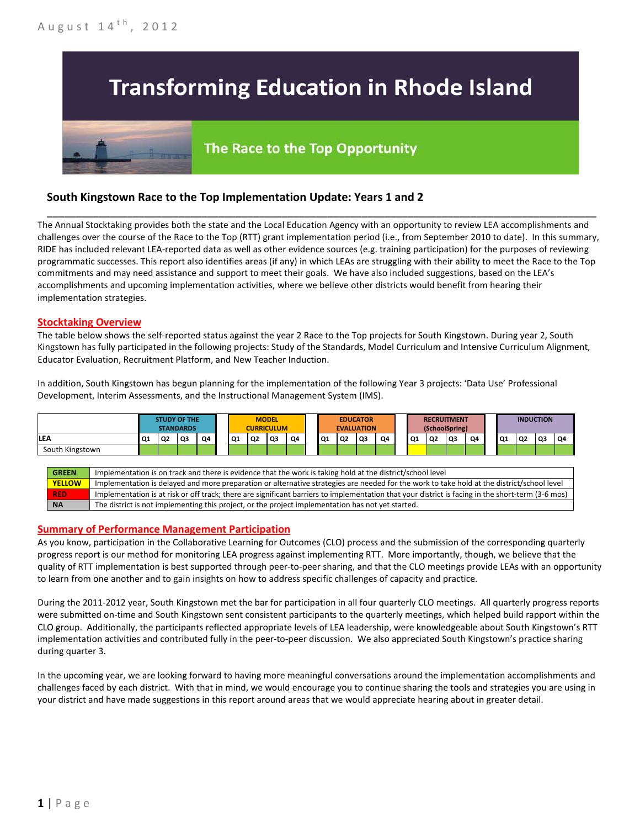# **Transforming Education in Rhode Island**

# The Race to the Top Opportunity

# **South Kingstown Race to the Top Implementation Update: Years 1 and 2**

The Annual Stocktaking provides both the state and the Local Education Agency with an opportunity to review LEA accomplishments and challenges over the course of the Race to the Top (RTT) grant implementation period (i.e., from September 2010 to date). In this summary, RIDE has included relevant LEA-reported data as well as other evidence sources (e.g. training participation) for the purposes of reviewing programmatic successes. This report also identifies areas (if any) in which LEAs are struggling with their ability to meet the Race to the Top commitments and may need assistance and support to meet their goals. We have also included suggestions, based on the LEA's accomplishments and upcoming implementation activities, where we believe other districts would benefit from hearing their implementation strategies.

\_\_\_\_\_\_\_\_\_\_\_\_\_\_\_\_\_\_\_\_\_\_\_\_\_\_\_\_\_\_\_\_\_\_\_\_\_\_\_\_\_\_\_\_\_\_\_\_\_\_\_\_\_\_\_\_\_\_\_\_\_\_\_\_\_\_\_\_\_\_\_\_\_\_\_\_\_\_\_\_\_\_\_\_\_\_\_\_\_\_\_\_\_\_\_\_

### **Stocktaking Overview**

The table below shows the self-reported status against the year 2 Race to the Top projects for South Kingstown. During year 2, South Kingstown has fully participated in the following projects: Study of the Standards, Model Curriculum and Intensive Curriculum Alignment, Educator Evaluation, Recruitment Platform, and New Teacher Induction.

In addition, South Kingstown has begun planning for the implementation of the following Year 3 projects: 'Data Use' Professional Development, Interim Assessments, and the Instructional Management System (IMS).



# **Summary of Performance Management Participation**

As you know, participation in the Collaborative Learning for Outcomes (CLO) process and the submission of the corresponding quarterly progress report is our method for monitoring LEA progress against implementing RTT. More importantly, though, we believe that the quality of RTT implementation is best supported through peer-to-peer sharing, and that the CLO meetings provide LEAs with an opportunity to learn from one another and to gain insights on how to address specific challenges of capacity and practice.

During the 2011-2012 year, South Kingstown met the bar for participation in all four quarterly CLO meetings. All quarterly progress reports were submitted on-time and South Kingstown sent consistent participants to the quarterly meetings, which helped build rapport within the CLO group. Additionally, the participants reflected appropriate levels of LEA leadership, were knowledgeable about South Kingstown's RTT implementation activities and contributed fully in the peer-to-peer discussion. We also appreciated South Kingstown's practice sharing during quarter 3.

In the upcoming year, we are looking forward to having more meaningful conversations around the implementation accomplishments and challenges faced by each district. With that in mind, we would encourage you to continue sharing the tools and strategies you are using in your district and have made suggestions in this report around areas that we would appreciate hearing about in greater detail.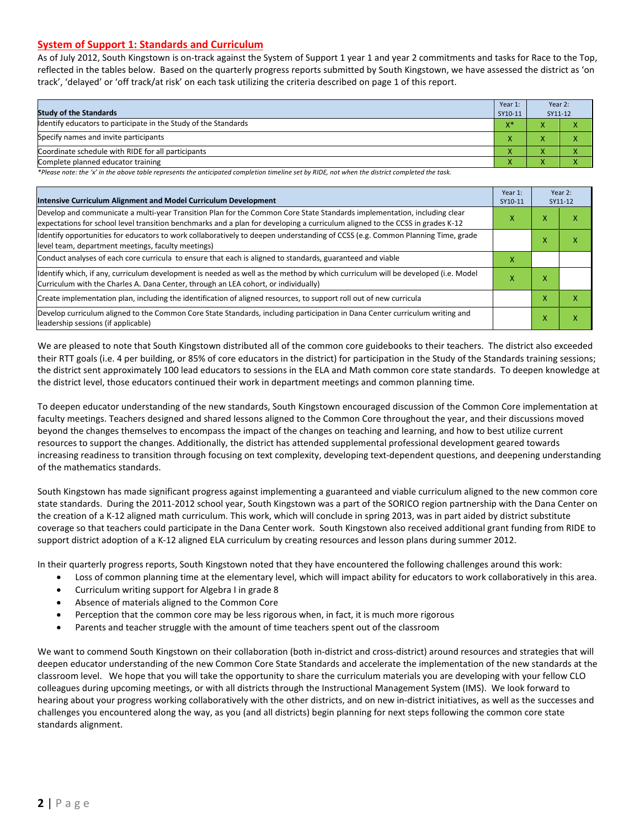### **System of Support 1: Standards and Curriculum**

As of July 2012, South Kingstown is on-track against the System of Support 1 year 1 and year 2 commitments and tasks for Race to the Top, reflected in the tables below. Based on the quarterly progress reports submitted by South Kingstown, we have assessed the district as 'on track', 'delayed' or 'off track/at risk' on each task utilizing the criteria described on page 1 of this report.

| <b>Study of the Standards</b>                                   | Year 1:<br>SY10-11 | Year 2:<br>SY11-12     |  |
|-----------------------------------------------------------------|--------------------|------------------------|--|
| Identify educators to participate in the Study of the Standards | $X^*$              |                        |  |
| Specify names and invite participants                           | $\mathbf{\Lambda}$ |                        |  |
| Coordinate schedule with RIDE for all participants              | Λ                  |                        |  |
| Complete planned educator training                              | '                  | $\mathbf{v}$<br>$\sim$ |  |

*\*Please note: the 'x' in the above table represents the anticipated completion timeline set by RIDE, not when the district completed the task.*

| Intensive Curriculum Alignment and Model Curriculum Development                                                                                                                                                                                           |   |   | Year 2:<br>SY11-12 |
|-----------------------------------------------------------------------------------------------------------------------------------------------------------------------------------------------------------------------------------------------------------|---|---|--------------------|
| Develop and communicate a multi-year Transition Plan for the Common Core State Standards implementation, including clear<br>expectations for school level transition benchmarks and a plan for developing a curriculum aligned to the CCSS in grades K-12 |   | x | ⋏                  |
| Identify opportunities for educators to work collaboratively to deepen understanding of CCSS (e.g. Common Planning Time, grade<br>level team, department meetings, faculty meetings)                                                                      |   | x |                    |
| Conduct analyses of each core curricula to ensure that each is aligned to standards, guaranteed and viable                                                                                                                                                |   |   |                    |
| ldentify which, if any, curriculum development is needed as well as the method by which curriculum will be developed (i.e. Model<br>Curriculum with the Charles A. Dana Center, through an LEA cohort, or individually)                                   | x | x |                    |
| Create implementation plan, including the identification of aligned resources, to support roll out of new curricula                                                                                                                                       |   | X |                    |
| Develop curriculum aligned to the Common Core State Standards, including participation in Dana Center curriculum writing and<br>leadership sessions (if applicable)                                                                                       |   | х | χ                  |

We are pleased to note that South Kingstown distributed all of the common core guidebooks to their teachers. The district also exceeded their RTT goals (i.e. 4 per building, or 85% of core educators in the district) for participation in the Study of the Standards training sessions; the district sent approximately 100 lead educators to sessions in the ELA and Math common core state standards. To deepen knowledge at the district level, those educators continued their work in department meetings and common planning time.

To deepen educator understanding of the new standards, South Kingstown encouraged discussion of the Common Core implementation at faculty meetings. Teachers designed and shared lessons aligned to the Common Core throughout the year, and their discussions moved beyond the changes themselves to encompass the impact of the changes on teaching and learning, and how to best utilize current resources to support the changes. Additionally, the district has attended supplemental professional development geared towards increasing readiness to transition through focusing on text complexity, developing text-dependent questions, and deepening understanding of the mathematics standards.

South Kingstown has made significant progress against implementing a guaranteed and viable curriculum aligned to the new common core state standards. During the 2011-2012 school year, South Kingstown was a part of the SORICO region partnership with the Dana Center on the creation of a K-12 aligned math curriculum. This work, which will conclude in spring 2013, was in part aided by district substitute coverage so that teachers could participate in the Dana Center work. South Kingstown also received additional grant funding from RIDE to support district adoption of a K-12 aligned ELA curriculum by creating resources and lesson plans during summer 2012.

In their quarterly progress reports, South Kingstown noted that they have encountered the following challenges around this work:

- Loss of common planning time at the elementary level, which will impact ability for educators to work collaboratively in this area.
- Curriculum writing support for Algebra I in grade 8
- Absence of materials aligned to the Common Core
- Perception that the common core may be less rigorous when, in fact, it is much more rigorous
- Parents and teacher struggle with the amount of time teachers spent out of the classroom

We want to commend South Kingstown on their collaboration (both in-district and cross-district) around resources and strategies that will deepen educator understanding of the new Common Core State Standards and accelerate the implementation of the new standards at the classroom level. We hope that you will take the opportunity to share the curriculum materials you are developing with your fellow CLO colleagues during upcoming meetings, or with all districts through the Instructional Management System (IMS). We look forward to hearing about your progress working collaboratively with the other districts, and on new in-district initiatives, as well as the successes and challenges you encountered along the way, as you (and all districts) begin planning for next steps following the common core state standards alignment.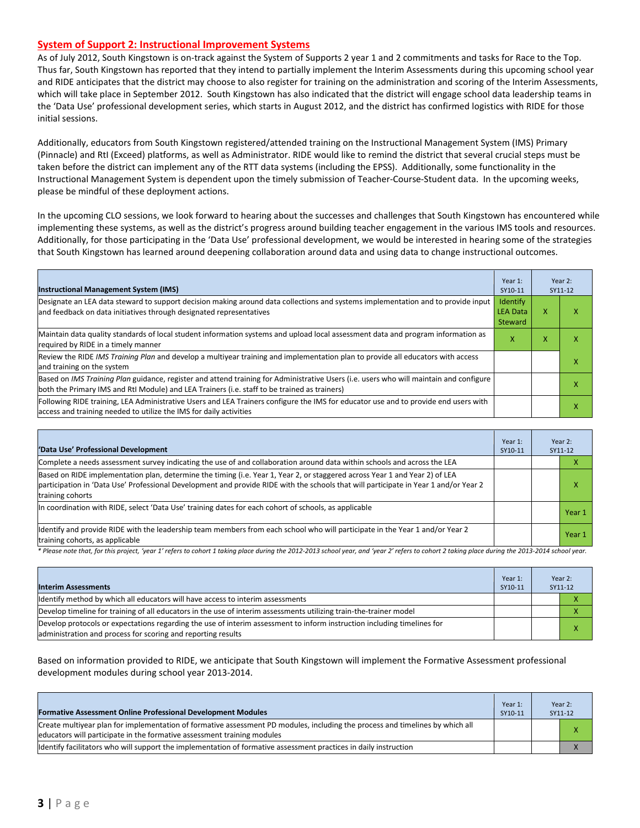#### **System of Support 2: Instructional Improvement Systems**

As of July 2012, South Kingstown is on-track against the System of Supports 2 year 1 and 2 commitments and tasks for Race to the Top. Thus far, South Kingstown has reported that they intend to partially implement the Interim Assessments during this upcoming school year and RIDE anticipates that the district may choose to also register for training on the administration and scoring of the Interim Assessments, which will take place in September 2012. South Kingstown has also indicated that the district will engage school data leadership teams in the 'Data Use' professional development series, which starts in August 2012, and the district has confirmed logistics with RIDE for those initial sessions.

Additionally, educators from South Kingstown registered/attended training on the Instructional Management System (IMS) Primary (Pinnacle) and RtI (Exceed) platforms, as well as Administrator. RIDE would like to remind the district that several crucial steps must be taken before the district can implement any of the RTT data systems (including the EPSS). Additionally, some functionality in the Instructional Management System is dependent upon the timely submission of Teacher-Course-Student data. In the upcoming weeks, please be mindful of these deployment actions.

In the upcoming CLO sessions, we look forward to hearing about the successes and challenges that South Kingstown has encountered while implementing these systems, as well as the district's progress around building teacher engagement in the various IMS tools and resources. Additionally, for those participating in the 'Data Use' professional development, we would be interested in hearing some of the strategies that South Kingstown has learned around deepening collaboration around data and using data to change instructional outcomes.

| <b>Instructional Management System (IMS)</b>                                                                                                                                                                                           | Year 1:<br>SY10-11                     |   | Year 2:<br>SY11-12 |
|----------------------------------------------------------------------------------------------------------------------------------------------------------------------------------------------------------------------------------------|----------------------------------------|---|--------------------|
| Designate an LEA data steward to support decision making around data collections and systems implementation and to provide input<br>and feedback on data initiatives through designated representatives                                | Identify<br><b>LEA Data</b><br>Steward | x |                    |
| Maintain data quality standards of local student information systems and upload local assessment data and program information as<br>required by RIDE in a timely manner                                                                |                                        | х | х                  |
| Review the RIDE IMS Training Plan and develop a multiyear training and implementation plan to provide all educators with access<br>and training on the system                                                                          |                                        |   |                    |
| Based on IMS Training Plan guidance, register and attend training for Administrative Users (i.e. users who will maintain and configure<br>both the Primary IMS and RtI Module) and LEA Trainers (i.e. staff to be trained as trainers) |                                        |   | х                  |
| Following RIDE training, LEA Administrative Users and LEA Trainers configure the IMS for educator use and to provide end users with<br>access and training needed to utilize the IMS for daily activities                              |                                        |   | х                  |

| 'Data Use' Professional Development                                                                                                                                                                                                                                                     | Year 1:<br>SY10-11 | Year 2:<br>SY11-12 |        |
|-----------------------------------------------------------------------------------------------------------------------------------------------------------------------------------------------------------------------------------------------------------------------------------------|--------------------|--------------------|--------|
| Complete a needs assessment survey indicating the use of and collaboration around data within schools and across the LEA                                                                                                                                                                |                    |                    | ⋏      |
| Based on RIDE implementation plan, determine the timing (i.e. Year 1, Year 2, or staggered across Year 1 and Year 2) of LEA<br>participation in 'Data Use' Professional Development and provide RIDE with the schools that will participate in Year 1 and/or Year 2<br>training cohorts |                    |                    | л      |
| In coordination with RIDE, select 'Data Use' training dates for each cohort of schools, as applicable                                                                                                                                                                                   |                    |                    | Year 1 |
| Ildentify and provide RIDE with the leadership team members from each school who will participate in the Year 1 and/or Year 2<br>training cohorts, as applicable                                                                                                                        |                    |                    | Year 1 |

*\* Please note that, for this project, 'year 1' refers to cohort 1 taking place during the 2012-2013 school year, and 'year 2' refers to cohort 2 taking place during the 2013-2014 school year.*

| <b>Interim Assessments</b>                                                                                                                                                              | Year 1:<br>SY10-11 | Year 2:<br>SY11-12 |
|-----------------------------------------------------------------------------------------------------------------------------------------------------------------------------------------|--------------------|--------------------|
| Identify method by which all educators will have access to interim assessments                                                                                                          |                    |                    |
| Develop timeline for training of all educators in the use of interim assessments utilizing train-the-trainer model                                                                      |                    |                    |
| Develop protocols or expectations regarding the use of interim assessment to inform instruction including timelines for<br>administration and process for scoring and reporting results |                    |                    |

Based on information provided to RIDE, we anticipate that South Kingstown will implement the Formative Assessment professional development modules during school year 2013-2014.

| <b>Formative Assessment Online Professional Development Modules</b>                                                                                                                                      | Year 1:<br>SY10-11 | Year 2:<br>SY11-12 |
|----------------------------------------------------------------------------------------------------------------------------------------------------------------------------------------------------------|--------------------|--------------------|
| Create multivear plan for implementation of formative assessment PD modules, including the process and timelines by which all<br>educators will participate in the formative assessment training modules |                    |                    |
| Identify facilitators who will support the implementation of formative assessment practices in daily instruction                                                                                         |                    |                    |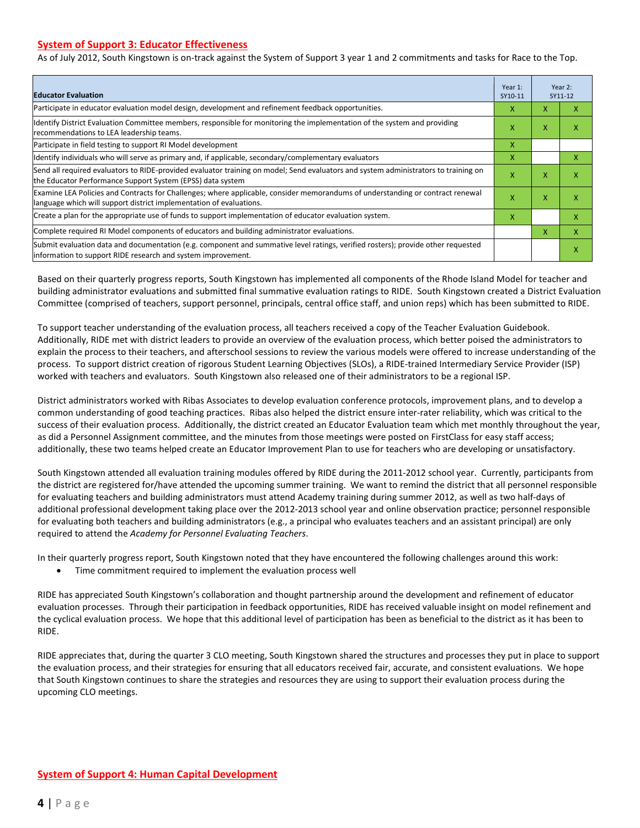## **System of Support 3: Educator Effectiveness**

As of July 2012, South Kingstown is on-track against the System of Support 3 year 1 and 2 commitments and tasks for Race to the Top.

| <b>Educator Evaluation</b>                                                                                                                                                                            |   |   | Year 2:<br>SY11-12 |
|-------------------------------------------------------------------------------------------------------------------------------------------------------------------------------------------------------|---|---|--------------------|
| Participate in educator evaluation model design, development and refinement feedback opportunities.                                                                                                   | x | X | X                  |
| Identify District Evaluation Committee members, responsible for monitoring the implementation of the system and providing<br>recommendations to LEA leadership teams.                                 |   | X | x                  |
| Participate in field testing to support RI Model development                                                                                                                                          |   |   |                    |
| ldentify individuals who will serve as primary and, if applicable, secondary/complementary evaluators                                                                                                 |   |   | x                  |
| Send all required evaluators to RIDE-provided evaluator training on model; Send evaluators and system administrators to training on<br>the Educator Performance Support System (EPSS) data system     |   | X | X                  |
| Examine LEA Policies and Contracts for Challenges; where applicable, consider memorandums of understanding or contract renewal<br>language which will support district implementation of evaluations. |   | X | X                  |
| Create a plan for the appropriate use of funds to support implementation of educator evaluation system.                                                                                               |   |   | x                  |
| Complete required RI Model components of educators and building administrator evaluations.                                                                                                            |   | x | X                  |
| Submit evaluation data and documentation (e.g. component and summative level ratings, verified rosters); provide other requested<br>information to support RIDE research and system improvement.      |   |   | X                  |

Based on their quarterly progress reports, South Kingstown has implemented all components of the Rhode Island Model for teacher and building administrator evaluations and submitted final summative evaluation ratings to RIDE. South Kingstown created a District Evaluation Committee (comprised of teachers, support personnel, principals, central office staff, and union reps) which has been submitted to RIDE.

To support teacher understanding of the evaluation process, all teachers received a copy of the Teacher Evaluation Guidebook. Additionally, RIDE met with district leaders to provide an overview of the evaluation process, which better poised the administrators to explain the process to their teachers, and afterschool sessions to review the various models were offered to increase understanding of the process. To support district creation of rigorous Student Learning Objectives (SLOs), a RIDE-trained Intermediary Service Provider (ISP) worked with teachers and evaluators. South Kingstown also released one of their administrators to be a regional ISP.

District administrators worked with Ribas Associates to develop evaluation conference protocols, improvement plans, and to develop a common understanding of good teaching practices. Ribas also helped the district ensure inter-rater reliability, which was critical to the success of their evaluation process. Additionally, the district created an Educator Evaluation team which met monthly throughout the year, as did a Personnel Assignment committee, and the minutes from those meetings were posted on FirstClass for easy staff access; additionally, these two teams helped create an Educator Improvement Plan to use for teachers who are developing or unsatisfactory.

South Kingstown attended all evaluation training modules offered by RIDE during the 2011-2012 school year. Currently, participants from the district are registered for/have attended the upcoming summer training. We want to remind the district that all personnel responsible for evaluating teachers and building administrators must attend Academy training during summer 2012, as well as two half-days of additional professional development taking place over the 2012-2013 school year and online observation practice; personnel responsible for evaluating both teachers and building administrators (e.g., a principal who evaluates teachers and an assistant principal) are only required to attend the *Academy for Personnel Evaluating Teachers*.

In their quarterly progress report, South Kingstown noted that they have encountered the following challenges around this work:

Time commitment required to implement the evaluation process well

RIDE has appreciated South Kingstown's collaboration and thought partnership around the development and refinement of educator evaluation processes. Through their participation in feedback opportunities, RIDE has received valuable insight on model refinement and the cyclical evaluation process. We hope that this additional level of participation has been as beneficial to the district as it has been to RIDE.

RIDE appreciates that, during the quarter 3 CLO meeting, South Kingstown shared the structures and processes they put in place to support the evaluation process, and their strategies for ensuring that all educators received fair, accurate, and consistent evaluations. We hope that South Kingstown continues to share the strategies and resources they are using to support their evaluation process during the upcoming CLO meetings.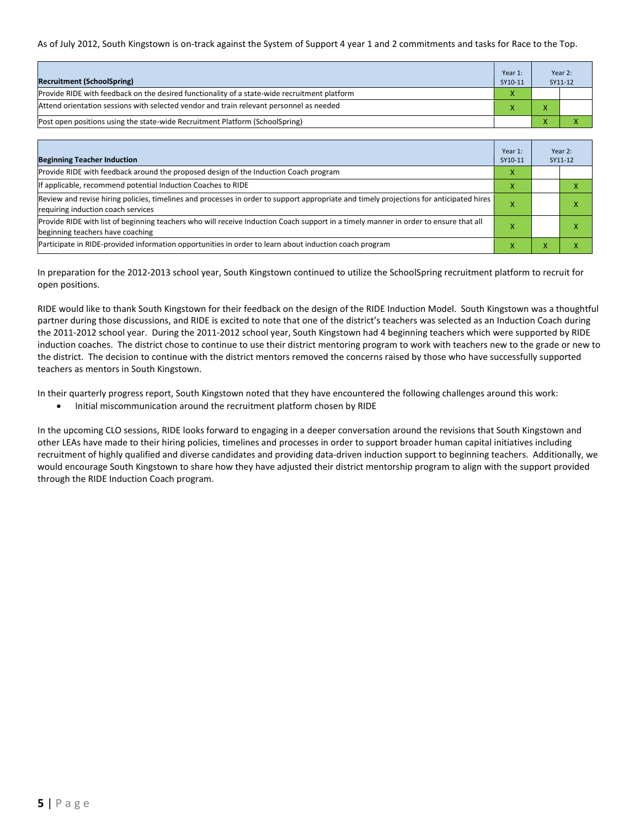As of July 2012, South Kingstown is on-track against the System of Support 4 year 1 and 2 commitments and tasks for Race to the Top.

| <b>Recruitment (SchoolSpring)</b>                                                            | Year 1:<br>SY10-11 | Year 2:<br>SY11-12 |
|----------------------------------------------------------------------------------------------|--------------------|--------------------|
| Provide RIDE with feedback on the desired functionality of a state-wide recruitment platform | X                  |                    |
| Attend orientation sessions with selected vendor and train relevant personnel as needed      |                    |                    |
| (Post open positions using the state-wide Recruitment Platform (SchoolSpring)                |                    |                    |

| <b>Beginning Teacher Induction</b>                                                                                                                                            | Year 1:<br>SY10-11 |                | Year 2:<br>SY11-12 |
|-------------------------------------------------------------------------------------------------------------------------------------------------------------------------------|--------------------|----------------|--------------------|
| Provide RIDE with feedback around the proposed design of the Induction Coach program                                                                                          | X                  |                |                    |
| If applicable, recommend potential Induction Coaches to RIDE                                                                                                                  | X                  |                |                    |
| Review and revise hiring policies, timelines and processes in order to support appropriate and timely projections for anticipated hires<br>requiring induction coach services | х                  |                | ^                  |
| Provide RIDE with list of beginning teachers who will receive Induction Coach support in a timely manner in order to ensure that all<br>beginning teachers have coaching      | х                  |                | ⋏                  |
| Participate in RIDE-provided information opportunities in order to learn about induction coach program                                                                        | x                  | $\overline{ }$ | ^                  |

In preparation for the 2012-2013 school year, South Kingstown continued to utilize the SchoolSpring recruitment platform to recruit for open positions.

RIDE would like to thank South Kingstown for their feedback on the design of the RIDE Induction Model. South Kingstown was a thoughtful partner during those discussions, and RIDE is excited to note that one of the district's teachers was selected as an Induction Coach during the 2011-2012 school year. During the 2011-2012 school year, South Kingstown had 4 beginning teachers which were supported by RIDE induction coaches. The district chose to continue to use their district mentoring program to work with teachers new to the grade or new to the district. The decision to continue with the district mentors removed the concerns raised by those who have successfully supported teachers as mentors in South Kingstown.

In their quarterly progress report, South Kingstown noted that they have encountered the following challenges around this work:

• Initial miscommunication around the recruitment platform chosen by RIDE

In the upcoming CLO sessions, RIDE looks forward to engaging in a deeper conversation around the revisions that South Kingstown and other LEAs have made to their hiring policies, timelines and processes in order to support broader human capital initiatives including recruitment of highly qualified and diverse candidates and providing data-driven induction support to beginning teachers. Additionally, we would encourage South Kingstown to share how they have adjusted their district mentorship program to align with the support provided through the RIDE Induction Coach program.